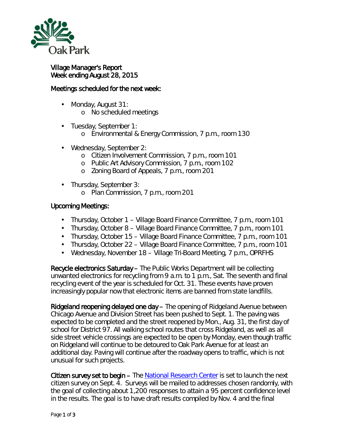

## Village Manager's Report Week ending August 28, 2015

## Meetings scheduled for the next week:

- ä, Monday, August 31: o No scheduled meetings
- Tuesday, September 1:
	- o Environmental & Energy Commission, 7 p.m., room 130
- ä. Wednesday, September 2:
	- o Citizen Involvement Commission, 7 p.m., room 101
	- o Public Art Advisory Commission, 7 p.m., room 102
	- o Zoning Board of Appeals, 7 p.m., room 201
- Thursday, September 3:
	- o Plan Commission, 7 p.m., room 201

## Upcoming Meetings:

- Thursday, October 1 Village Board Finance Committee, 7 p.m., room 101
- Thursday, October 8 Village Board Finance Committee, 7 p.m., room 101
- Thursday, October 15 Village Board Finance Committee, 7 p.m., room 101
- Thursday, October 22 Village Board Finance Committee, 7 p.m., room 101
- $\mathbf{r}$ Wednesday, November 18 – Village Tri-Board Meeting, 7 p.m., OPRFHS

Recycle electronics Saturday – The Public Works Department will be collecting unwanted electronics for recycling from 9 a.m. to 1 p.m., Sat. The seventh and final recycling event of the year is scheduled for Oct. 31. These events have proven increasingly popular now that electronic items are banned from state landfills.

Ridgeland reopening delayed one day – The opening of Ridgeland Avenue between Chicago Avenue and Division Street has been pushed to Sept. 1. The paving was expected to be completed and the street reopened by Mon., Aug. 31, the first day of school for District 97. All walking school routes that cross Ridgeland, as well as all side street vehicle crossings are expected to be open by Monday, even though traffic on Ridgeland will continue to be detoured to Oak Park Avenue for at least an additional day. Paving will continue after the roadway opens to traffic, which is not unusual for such projects.

Citizen survey set to begin – The [National Research Center](http://www.n-r-c.com/) is set to launch the next citizen survey on Sept. 4. Surveys will be mailed to addresses chosen randomly, with the goal of collecting about 1,200 responses to attain a 95 percent confidence level in the results. The goal is to have draft results compiled by Nov. 4 and the final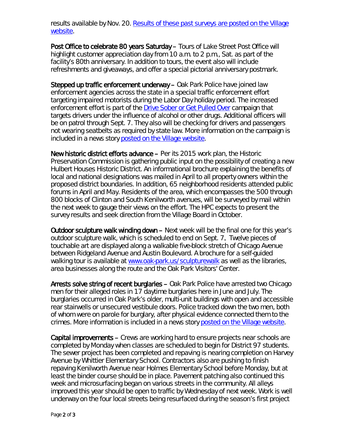results available by Nov. 20. [Results of these past surveys are posted on the Village](http://www.oak-park.us/your-government/village-manager/community-surveys)  [website.](http://www.oak-park.us/your-government/village-manager/community-surveys)

Post Office to celebrate 80 years Saturday - Tours of Lake Street Post Office will highlight customer appreciation day from 10 a.m. to 2 p.m., Sat. as part of the facility's 80th anniversary. In addition to tours, the event also will include refreshments and giveaways, and offer a special pictorial anniversary postmark.

Stepped up traffic enforcement underway – Oak Park Police have joined law enforcement agencies across the state in a special traffic enforcement effort targeting impaired motorists during the Labor Day holiday period. The increased enforcement effort is part of the [Drive Sober or Get Pulled Over](http://www.nhtsa.gov/drivesober/) campaign that targets drivers under the influence of alcohol or other drugs. Additional officers will be on patrol through Sept. 7. They also will be checking for drivers and passengers not wearing seatbelts as required by state law. More information on the campaign is included in a news story [posted on the Village website.](http://www.oak-park.us/news/police-plan-labor-day-drunk-driving-crackdown)

New historic district efforts advance – Per its 2015 work plan, the Historic Preservation Commission is gathering public input on the possibility of creating a new *Hulbert Houses Historic District*. An informational brochure explaining the benefits of local and national designations was mailed in April to all property owners within the proposed district boundaries. In addition, 65 neighborhood residents attended public forums in April and May. Residents of the area, which encompasses the 500 through 800 blocks of Clinton and South Kenilworth avenues, will be surveyed by mail within the next week to gauge their views on the effort. The HPC expects to present the survey results and seek direction from the Village Board in October.

Outdoor sculpture walk winding down – Next week will be the final one for this year's outdoor sculpture walk, which is scheduled to end on Sept. 7. Twelve pieces of touchable art are displayed along a walkable five-block stretch of Chicago Avenue between Ridgeland Avenue and Austin Boulevard. A brochure for a self-guided walking tour is available at [www.oak-park.us/sculpturewalk](http://www.oak-park.us/our-community/special-events/sculpture-walk) as well as the libraries, area businesses along the route and the Oak Park Visitors' Center.

Arrests solve string of recent burglaries – Oak Park Police have arrested two Chicago men for their alleged roles in 17 daytime burglaries here in June and July. The burglaries occurred in Oak Park's older, multi-unit buildings with open and accessible rear stairwells or unsecured vestibule doors. Police tracked down the two men, both of whom were on parole for burglary, after physical evidence connected them to the crimes. More information is included in a news story [posted on the Village website.](http://www.oak-park.us/news/arrests-made-after-two-month-burglary-spree)

Capital improvements – Crews are working hard to ensure projects near schools are completed by Monday when classes are scheduled to begin for District 97 students. The sewer project has been completed and repaving is nearing completion on Harvey Avenue by Whittier Elementary School. Contractors also are pushing to finish repaving Kenilworth Avenue near Holmes Elementary School before Monday, but at least the binder course should be in place. Pavement patching also continued this week and microsurfacing began on various streets in the community. All alleys improved this year should be open to traffic by Wednesday of next week. Work is well underway on the four local streets being resurfaced during the season's first project